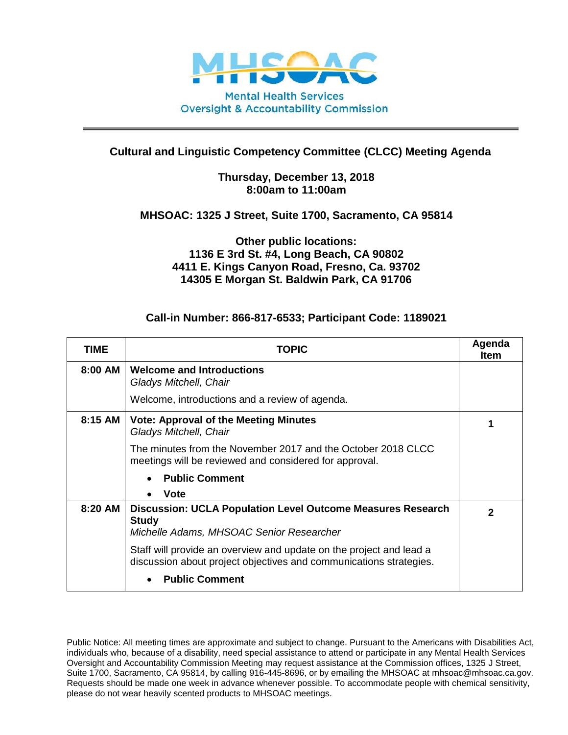

# **Cultural and Linguistic Competency Committee (CLCC) Meeting Agenda**

#### **Thursday, December 13, 2018 8:00am to 11:00am**

### **MHSOAC: 1325 J Street, Suite 1700, Sacramento, CA 95814**

## **Other public locations: 1136 E 3rd St. #4, Long Beach, CA 90802 4411 E. Kings Canyon Road, Fresno, Ca. 93702 14305 E Morgan St. Baldwin Park, CA 91706**

### **Call-in Number: 866-817-6533; Participant Code: 1189021**

| TIME    | <b>TOPIC</b>                                                                                                                              | Agenda<br><b>Item</b> |
|---------|-------------------------------------------------------------------------------------------------------------------------------------------|-----------------------|
| 8:00 AM | <b>Welcome and Introductions</b><br>Gladys Mitchell, Chair                                                                                |                       |
|         | Welcome, introductions and a review of agenda.                                                                                            |                       |
| 8:15 AM | <b>Vote: Approval of the Meeting Minutes</b><br>Gladys Mitchell, Chair                                                                    |                       |
|         | The minutes from the November 2017 and the October 2018 CLCC.<br>meetings will be reviewed and considered for approval.                   |                       |
|         | <b>Public Comment</b><br>$\bullet$                                                                                                        |                       |
|         | <b>Vote</b><br>$\bullet$                                                                                                                  |                       |
| 8:20 AM | <b>Discussion: UCLA Population Level Outcome Measures Research</b><br><b>Study</b><br>Michelle Adams, MHSOAC Senior Researcher            | $\mathbf{2}$          |
|         |                                                                                                                                           |                       |
|         | Staff will provide an overview and update on the project and lead a<br>discussion about project objectives and communications strategies. |                       |
|         | <b>Public Comment</b>                                                                                                                     |                       |

Public Notice: All meeting times are approximate and subject to change. Pursuant to the Americans with Disabilities Act, individuals who, because of a disability, need special assistance to attend or participate in any Mental Health Services Oversight and Accountability Commission Meeting may request assistance at the Commission offices, 1325 J Street, Suite 1700, Sacramento, CA 95814, by calling 916-445-8696, or by emailing the MHSOAC at mhsoac@mhsoac.ca.gov. Requests should be made one week in advance whenever possible. To accommodate people with chemical sensitivity, please do not wear heavily scented products to MHSOAC meetings.